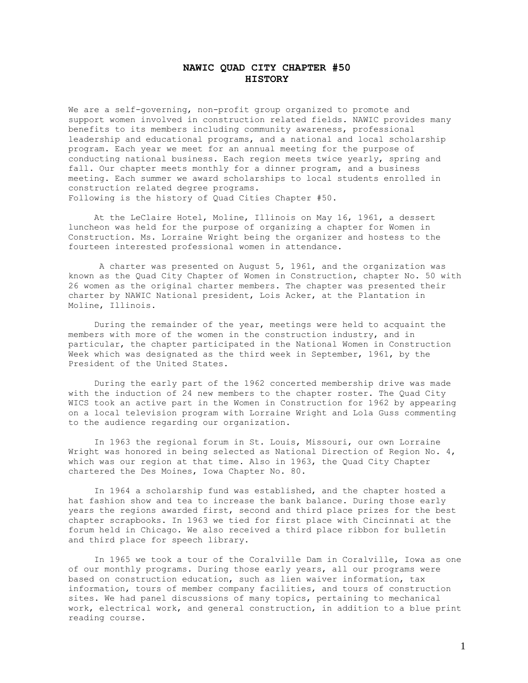## **NAWIC QUAD CITY CHAPTER #50 HISTORY**

We are a self-governing, non-profit group organized to promote and support women involved in construction related fields. NAWIC provides many benefits to its members including community awareness, professional leadership and educational programs, and a national and local scholarship program. Each year we meet for an annual meeting for the purpose of conducting national business. Each region meets twice yearly, spring and fall. Our chapter meets monthly for a dinner program, and a business meeting. Each summer we award scholarships to local students enrolled in construction related degree programs. Following is the history of Quad Cities Chapter #50.

 At the LeClaire Hotel, Moline, Illinois on May 16, 1961, a dessert luncheon was held for the purpose of organizing a chapter for Women in Construction. Ms. Lorraine Wright being the organizer and hostess to the fourteen interested professional women in attendance.

 A charter was presented on August 5, 1961, and the organization was known as the Quad City Chapter of Women in Construction, chapter No. 50 with 26 women as the original charter members. The chapter was presented their charter by NAWIC National president, Lois Acker, at the Plantation in Moline, Illinois.

 During the remainder of the year, meetings were held to acquaint the members with more of the women in the construction industry, and in particular, the chapter participated in the National Women in Construction Week which was designated as the third week in September, 1961, by the President of the United States.

 During the early part of the 1962 concerted membership drive was made with the induction of 24 new members to the chapter roster. The Quad City WICS took an active part in the Women in Construction for 1962 by appearing on a local television program with Lorraine Wright and Lola Guss commenting to the audience regarding our organization.

 In 1963 the regional forum in St. Louis, Missouri, our own Lorraine Wright was honored in being selected as National Direction of Region No. 4, which was our region at that time. Also in 1963, the Quad City Chapter chartered the Des Moines, Iowa Chapter No. 80.

 In 1964 a scholarship fund was established, and the chapter hosted a hat fashion show and tea to increase the bank balance. During those early years the regions awarded first, second and third place prizes for the best chapter scrapbooks. In 1963 we tied for first place with Cincinnati at the forum held in Chicago. We also received a third place ribbon for bulletin and third place for speech library.

 In 1965 we took a tour of the Coralville Dam in Coralville, Iowa as one of our monthly programs. During those early years, all our programs were based on construction education, such as lien waiver information, tax information, tours of member company facilities, and tours of construction sites. We had panel discussions of many topics, pertaining to mechanical work, electrical work, and general construction, in addition to a blue print reading course.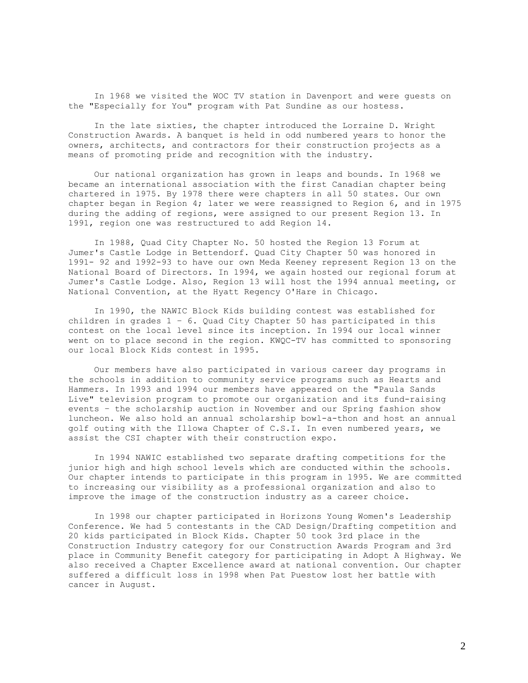In 1968 we visited the WOC TV station in Davenport and were guests on the "Especially for You" program with Pat Sundine as our hostess.

 In the late sixties, the chapter introduced the Lorraine D. Wright Construction Awards. A banquet is held in odd numbered years to honor the owners, architects, and contractors for their construction projects as a means of promoting pride and recognition with the industry.

 Our national organization has grown in leaps and bounds. In 1968 we became an international association with the first Canadian chapter being chartered in 1975. By 1978 there were chapters in all 50 states. Our own chapter began in Region 4; later we were reassigned to Region 6, and in 1975 during the adding of regions, were assigned to our present Region 13. In 1991, region one was restructured to add Region 14.

 In 1988, Quad City Chapter No. 50 hosted the Region 13 Forum at Jumer's Castle Lodge in Bettendorf. Quad City Chapter 50 was honored in 1991- 92 and 1992-93 to have our own Meda Keeney represent Region 13 on the National Board of Directors. In 1994, we again hosted our regional forum at Jumer's Castle Lodge. Also, Region 13 will host the 1994 annual meeting, or National Convention, at the Hyatt Regency O'Hare in Chicago.

 In 1990, the NAWIC Block Kids building contest was established for children in grades  $1 - 6$ . Quad City Chapter 50 has participated in this contest on the local level since its inception. In 1994 our local winner went on to place second in the region. KWQC-TV has committed to sponsoring our local Block Kids contest in 1995.

 Our members have also participated in various career day programs in the schools in addition to community service programs such as Hearts and Hammers. In 1993 and 1994 our members have appeared on the "Paula Sands Live" television program to promote our organization and its fund-raising events – the scholarship auction in November and our Spring fashion show luncheon. We also hold an annual scholarship bowl-a-thon and host an annual golf outing with the Illowa Chapter of C.S.I. In even numbered years, we assist the CSI chapter with their construction expo.

 In 1994 NAWIC established two separate drafting competitions for the junior high and high school levels which are conducted within the schools. Our chapter intends to participate in this program in 1995. We are committed to increasing our visibility as a professional organization and also to improve the image of the construction industry as a career choice.

 In 1998 our chapter participated in Horizons Young Women's Leadership Conference. We had 5 contestants in the CAD Design/Drafting competition and 20 kids participated in Block Kids. Chapter 50 took 3rd place in the Construction Industry category for our Construction Awards Program and 3rd place in Community Benefit category for participating in Adopt A Highway. We also received a Chapter Excellence award at national convention. Our chapter suffered a difficult loss in 1998 when Pat Puestow lost her battle with cancer in August.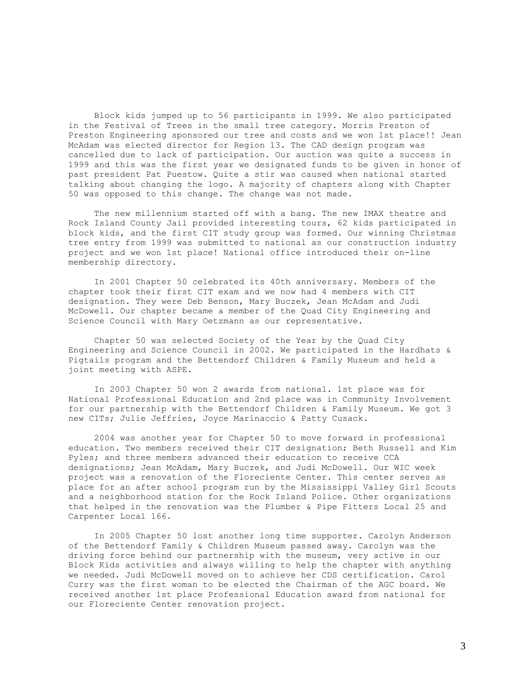Block kids jumped up to 56 participants in 1999. We also participated in the Festival of Trees in the small tree category. Morris Preston of Preston Engineering sponsored our tree and costs and we won 1st place!! Jean McAdam was elected director for Region 13. The CAD design program was cancelled due to lack of participation. Our auction was quite a success in 1999 and this was the first year we designated funds to be given in honor of past president Pat Puestow. Quite a stir was caused when national started talking about changing the logo. A majority of chapters along with Chapter 50 was opposed to this change. The change was not made.

 The new millennium started off with a bang. The new IMAX theatre and Rock Island County Jail provided interesting tours, 62 kids participated in block kids, and the first CIT study group was formed. Our winning Christmas tree entry from 1999 was submitted to national as our construction industry project and we won 1st place! National office introduced their on-line membership directory.

 In 2001 Chapter 50 celebrated its 40th anniversary. Members of the chapter took their first CIT exam and we now had 4 members with CIT designation. They were Deb Benson, Mary Buczek, Jean McAdam and Judi McDowell. Our chapter became a member of the Quad City Engineering and Science Council with Mary Oetzmann as our representative.

 Chapter 50 was selected Society of the Year by the Quad City Engineering and Science Council in 2002. We participated in the Hardhats & Pigtails program and the Bettendorf Children & Family Museum and held a joint meeting with ASPE.

 In 2003 Chapter 50 won 2 awards from national. 1st place was for National Professional Education and 2nd place was in Community Involvement for our partnership with the Bettendorf Children & Family Museum. We got 3 new CITs; Julie Jeffries, Joyce Marinaccio & Patty Cusack.

 2004 was another year for Chapter 50 to move forward in professional education. Two members received their CIT designation; Beth Russell and Kim Pyles; and three members advanced their education to receive CCA designations; Jean McAdam, Mary Buczek, and Judi McDowell. Our WIC week project was a renovation of the Floreciente Center. This center serves as place for an after school program run by the Mississippi Valley Girl Scouts and a neighborhood station for the Rock Island Police. Other organizations that helped in the renovation was the Plumber & Pipe Fitters Local 25 and Carpenter Local 166.

 In 2005 Chapter 50 lost another long time supporter. Carolyn Anderson of the Bettendorf Family & Children Museum passed away. Carolyn was the driving force behind our partnership with the museum, very active in our Block Kids activities and always willing to help the chapter with anything we needed. Judi McDowell moved on to achieve her CDS certification. Carol Curry was the first woman to be elected the Chairman of the AGC board. We received another 1st place Professional Education award from national for our Floreciente Center renovation project.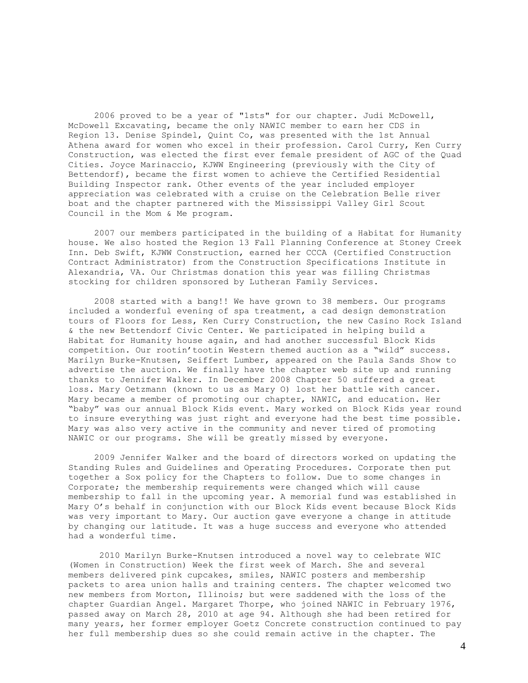2006 proved to be a year of "1sts" for our chapter. Judi McDowell, McDowell Excavating, became the only NAWIC member to earn her CDS in Region 13. Denise Spindel, Quint Co, was presented with the 1st Annual Athena award for women who excel in their profession. Carol Curry, Ken Curry Construction, was elected the first ever female president of AGC of the Quad Cities. Joyce Marinaccio, KJWW Engineering (previously with the City of Bettendorf), became the first women to achieve the Certified Residential Building Inspector rank. Other events of the year included employer appreciation was celebrated with a cruise on the Celebration Belle river boat and the chapter partnered with the Mississippi Valley Girl Scout Council in the Mom & Me program.

 2007 our members participated in the building of a Habitat for Humanity house. We also hosted the Region 13 Fall Planning Conference at Stoney Creek Inn. Deb Swift, KJWW Construction, earned her CCCA (Certified Construction Contract Administrator) from the Construction Specifications Institute in Alexandria, VA. Our Christmas donation this year was filling Christmas stocking for children sponsored by Lutheran Family Services.

 2008 started with a bang!! We have grown to 38 members. Our programs included a wonderful evening of spa treatment, a cad design demonstration tours of Floors for Less, Ken Curry Construction, the new Casino Rock Island & the new Bettendorf Civic Center. We participated in helping build a Habitat for Humanity house again, and had another successful Block Kids competition. Our rootin'tootin Western themed auction as a "wild" success. Marilyn Burke-Knutsen, Seiffert Lumber, appeared on the Paula Sands Show to advertise the auction. We finally have the chapter web site up and running thanks to Jennifer Walker. In December 2008 Chapter 50 suffered a great loss. Mary Oetzmann (known to us as Mary O) lost her battle with cancer. Mary became a member of promoting our chapter, NAWIC, and education. Her "baby" was our annual Block Kids event. Mary worked on Block Kids year round to insure everything was just right and everyone had the best time possible. Mary was also very active in the community and never tired of promoting NAWIC or our programs. She will be greatly missed by everyone.

 2009 Jennifer Walker and the board of directors worked on updating the Standing Rules and Guidelines and Operating Procedures. Corporate then put together a Sox policy for the Chapters to follow. Due to some changes in Corporate; the membership requirements were changed which will cause membership to fall in the upcoming year. A memorial fund was established in Mary O's behalf in conjunction with our Block Kids event because Block Kids was very important to Mary. Our auction gave everyone a change in attitude by changing our latitude. It was a huge success and everyone who attended had a wonderful time.

2010 Marilyn Burke-Knutsen introduced a novel way to celebrate WIC (Women in Construction) Week the first week of March. She and several members delivered pink cupcakes, smiles, NAWIC posters and membership packets to area union halls and training centers. The chapter welcomed two new members from Morton, Illinois; but were saddened with the loss of the chapter Guardian Angel. Margaret Thorpe, who joined NAWIC in February 1976, passed away on March 28, 2010 at age 94. Although she had been retired for many years, her former employer Goetz Concrete construction continued to pay her full membership dues so she could remain active in the chapter. The